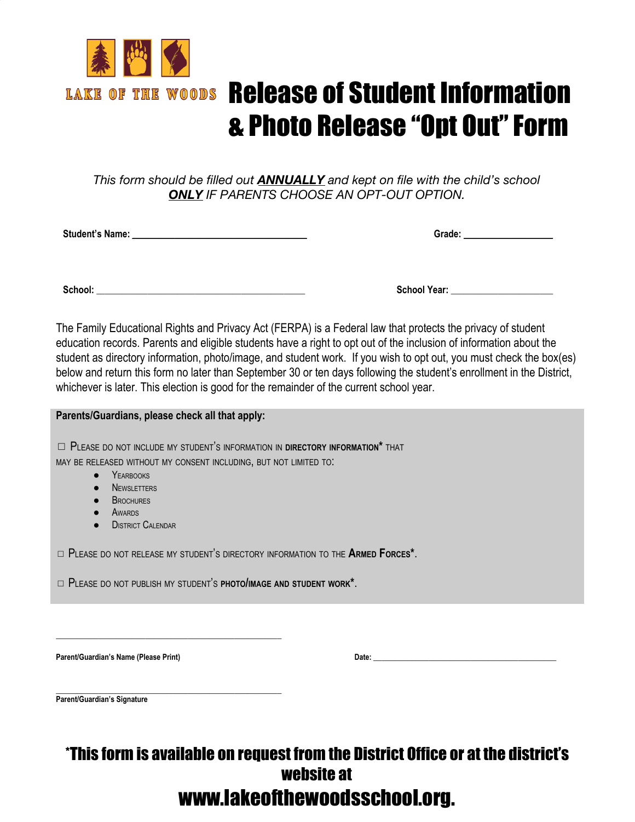

# Release of Student Information & Photo Release "Opt Out"Form

*This form should be filled out ANNUALLY and kept on file with the child's school ONLY IF PARENTS CHOOSE AN OPT-OUT OPTION.*

**Student's Name:** \_\_\_\_\_\_\_\_\_\_\_\_\_\_\_\_\_\_\_\_\_\_\_\_\_\_\_\_\_\_\_\_\_\_\_\_\_\_\_\_\_ **Grade:** \_\_\_\_\_\_\_\_\_\_\_\_\_\_\_\_\_\_\_\_\_

**School:** \_\_\_\_\_\_\_\_\_\_\_\_\_\_\_\_\_\_\_\_\_\_\_\_\_\_\_\_\_\_\_\_\_\_\_\_\_\_\_\_\_\_\_\_\_\_\_\_\_ **School Year:** \_\_\_\_\_\_\_\_\_\_\_\_\_\_\_\_\_\_\_\_\_\_\_\_

**Parents/Guardians, please check all that apply:**

The Family Educational Rights and Privacy Act (FERPA) is a Federal law that protects the privacy of student education records. Parents and eligible students have a right to opt out of the inclusion of information about the student as directory information, photo/image, and student work. If you wish to opt out, you must check the box(es) below and return this form no later than September 30 or ten days following the student's enrollment in the District, whichever is later. This election is good for the remainder of the current school year.

| - Parents/Guardians, piease check all that apply:                                    |
|--------------------------------------------------------------------------------------|
|                                                                                      |
| $\Box$ Please do not include my student's information in directory information* that |
| MAY BE RELEASED WITHOUT MY CONSENT INCLUDING. BUT NOT LIMITED TO.                    |
| • YEARBOOKS                                                                          |

- **NEWSLETTERS**
- **B**ROCHURES
- AWARDS
- **•** DISTRICT CALENDAR

◻ PLEASE DO NOT RELEASE MY STUDENT'<sup>S</sup> DIRECTORY INFORMATION TO THE **ARMED FORCES\***.

◻ PLEASE DO NOT PUBLISH MY STUDENT'<sup>S</sup> **PHOTO/IMAGE AND STUDENT WORK\***.

\_\_\_\_\_\_\_\_\_\_\_\_\_\_\_\_\_\_\_\_\_\_\_\_\_\_\_\_\_\_\_\_\_\_\_\_\_\_\_\_\_\_\_\_\_\_\_\_\_\_\_\_\_

**Parent/Guardian's Name (Please Print) Date:** \_\_\_\_\_\_\_\_\_\_\_\_\_\_\_\_\_\_\_\_\_\_\_\_\_\_\_\_\_\_\_\_\_\_\_\_\_\_\_\_\_\_\_

\_\_\_\_\_\_\_\_\_\_\_\_\_\_\_\_\_\_\_\_\_\_\_\_\_\_\_\_\_\_\_\_\_\_\_\_\_\_\_\_\_\_\_\_\_\_\_\_\_\_\_\_\_ **Parent/Guardian's Signature**

## \*This form is available on request from the District Office or at the district's website at [www.lakeofthewoodsschool.org](http://www.lakeofthewoodsschool.org/).